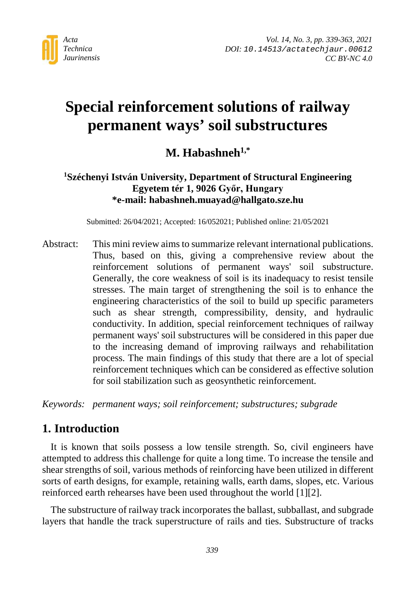

# **Special reinforcement solutions of railway permanent ways' soil substructures**

**M. Habashneh1,\***

## **1 Széchenyi István University, Department of Structural Engineering Egyetem tér 1, 9026 Győr, Hungary \*e-mail: habashneh.muayad@hallgato.sze.hu**

Submitted: 26/04/2021; Accepted: 16/052021; Published online: 21/05/2021

Abstract: This mini review aims to summarize relevant international publications. Thus, based on this, giving a comprehensive review about the reinforcement solutions of permanent ways' soil substructure. Generally, the core weakness of soil is its inadequacy to resist tensile stresses. The main target of strengthening the soil is to enhance the engineering characteristics of the soil to build up specific parameters such as shear strength, compressibility, density, and hydraulic conductivity. In addition, special reinforcement techniques of railway permanent ways' soil substructures will be considered in this paper due to the increasing demand of improving railways and rehabilitation process. The main findings of this study that there are a lot of special reinforcement techniques which can be considered as effective solution for soil stabilization such as geosynthetic reinforcement.

*Keywords: permanent ways; soil reinforcement; substructures; subgrade*

# **1. Introduction**

It is known that soils possess a low tensile strength. So, civil engineers have attempted to address this challenge for quite a long time. To increase the tensile and shear strengths of soil, various methods of reinforcing have been utilized in different sorts of earth designs, for example, retaining walls, earth dams, slopes, etc. Various reinforced earth rehearses have been used throughout the world [1][2].

The substructure of railway track incorporates the ballast, subballast, and subgrade layers that handle the track superstructure of rails and ties. Substructure of tracks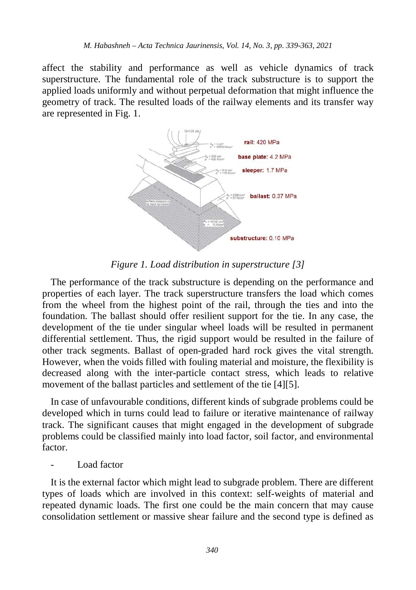affect the stability and performance as well as vehicle dynamics of track superstructure. The fundamental role of the track substructure is to support the applied loads uniformly and without perpetual deformation that might influence the geometry of track. The resulted loads of the railway elements and its transfer way are represented in Fig. 1.



*Figure 1. Load distribution in superstructure [3]*

The performance of the track substructure is depending on the performance and properties of each layer. The track superstructure transfers the load which comes from the wheel from the highest point of the rail, through the ties and into the foundation. The ballast should offer resilient support for the tie. In any case, the development of the tie under singular wheel loads will be resulted in permanent differential settlement. Thus, the rigid support would be resulted in the failure of other track segments. Ballast of open-graded hard rock gives the vital strength. However, when the voids filled with fouling material and moisture, the flexibility is decreased along with the inter-particle contact stress, which leads to relative movement of the ballast particles and settlement of the tie [4][5].

In case of unfavourable conditions, different kinds of subgrade problems could be developed which in turns could lead to failure or iterative maintenance of railway track. The significant causes that might engaged in the development of subgrade problems could be classified mainly into load factor, soil factor, and environmental factor.

Load factor

It is the external factor which might lead to subgrade problem. There are different types of loads which are involved in this context: self-weights of material and repeated dynamic loads. The first one could be the main concern that may cause consolidation settlement or massive shear failure and the second type is defined as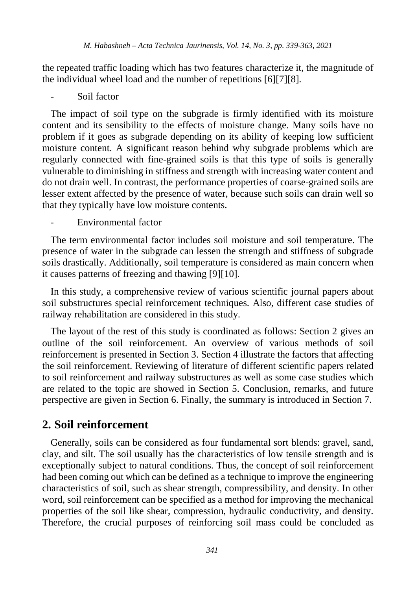the repeated traffic loading which has two features characterize it, the magnitude of the individual wheel load and the number of repetitions [6][7][8].

Soil factor

The impact of soil type on the subgrade is firmly identified with its moisture content and its sensibility to the effects of moisture change. Many soils have no problem if it goes as subgrade depending on its ability of keeping low sufficient moisture content. A significant reason behind why subgrade problems which are regularly connected with fine-grained soils is that this type of soils is generally vulnerable to diminishing in stiffness and strength with increasing water content and do not drain well. In contrast, the performance properties of coarse-grained soils are lesser extent affected by the presence of water, because such soils can drain well so that they typically have low moisture contents.

- Environmental factor

The term environmental factor includes soil moisture and soil temperature. The presence of water in the subgrade can lessen the strength and stiffness of subgrade soils drastically. Additionally, soil temperature is considered as main concern when it causes patterns of freezing and thawing [9][10].

In this study, a comprehensive review of various scientific journal papers about soil substructures special reinforcement techniques. Also, different case studies of railway rehabilitation are considered in this study.

The layout of the rest of this study is coordinated as follows: Section 2 gives an outline of the soil reinforcement. An overview of various methods of soil reinforcement is presented in Section 3. Section 4 illustrate the factors that affecting the soil reinforcement. Reviewing of literature of different scientific papers related to soil reinforcement and railway substructures as well as some case studies which are related to the topic are showed in Section 5. Conclusion, remarks, and future perspective are given in Section 6. Finally, the summary is introduced in Section 7.

## **2. Soil reinforcement**

Generally, soils can be considered as four fundamental sort blends: gravel, sand, clay, and silt. The soil usually has the characteristics of low tensile strength and is exceptionally subject to natural conditions. Thus, the concept of soil reinforcement had been coming out which can be defined as a technique to improve the engineering characteristics of soil, such as shear strength, compressibility, and density. In other word, soil reinforcement can be specified as a method for improving the mechanical properties of the soil like shear, compression, hydraulic conductivity, and density. Therefore, the crucial purposes of reinforcing soil mass could be concluded as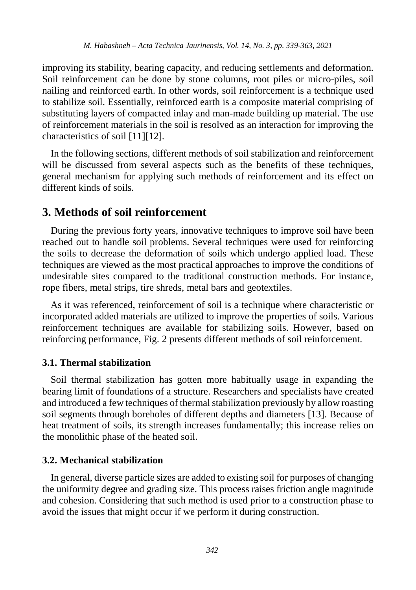improving its stability, bearing capacity, and reducing settlements and deformation. Soil reinforcement can be done by stone columns, root piles or micro-piles, soil nailing and reinforced earth. In other words, soil reinforcement is a technique used to stabilize soil. Essentially, reinforced earth is a composite material comprising of substituting layers of compacted inlay and man-made building up material. The use of reinforcement materials in the soil is resolved as an interaction for improving the characteristics of soil [11][12].

In the following sections, different methods of soil stabilization and reinforcement will be discussed from several aspects such as the benefits of these techniques, general mechanism for applying such methods of reinforcement and its effect on different kinds of soils.

## **3. Methods of soil reinforcement**

During the previous forty years, innovative techniques to improve soil have been reached out to handle soil problems. Several techniques were used for reinforcing the soils to decrease the deformation of soils which undergo applied load. These techniques are viewed as the most practical approaches to improve the conditions of undesirable sites compared to the traditional construction methods. For instance, rope fibers, metal strips, tire shreds, metal bars and geotextiles.

As it was referenced, reinforcement of soil is a technique where characteristic or incorporated added materials are utilized to improve the properties of soils. Various reinforcement techniques are available for stabilizing soils. However, based on reinforcing performance, Fig. 2 presents different methods of soil reinforcement.

#### **3.1. Thermal stabilization**

Soil thermal stabilization has gotten more habitually usage in expanding the bearing limit of foundations of a structure. Researchers and specialists have created and introduced a few techniques of thermal stabilization previously by allow roasting soil segments through boreholes of different depths and diameters [13]. Because of heat treatment of soils, its strength increases fundamentally; this increase relies on the monolithic phase of the heated soil.

#### **3.2. Mechanical stabilization**

In general, diverse particle sizes are added to existing soil for purposes of changing the uniformity degree and grading size. This process raises friction angle magnitude and cohesion. Considering that such method is used prior to a construction phase to avoid the issues that might occur if we perform it during construction.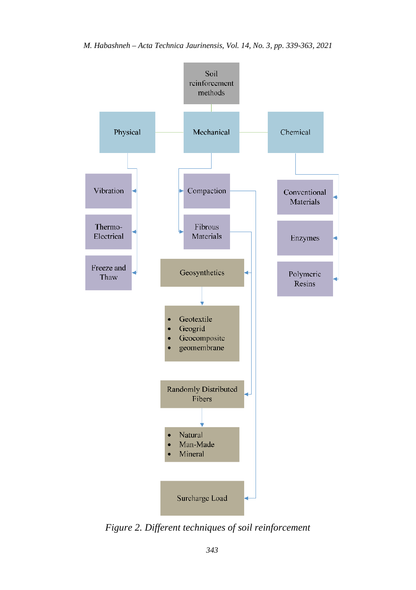

*Figure 2. Different techniques of soil reinforcement*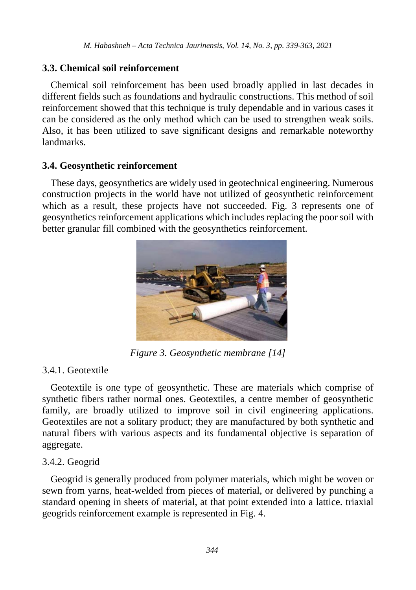## **3.3. Chemical soil reinforcement**

Chemical soil reinforcement has been used broadly applied in last decades in different fields such as foundations and hydraulic constructions. This method of soil reinforcement showed that this technique is truly dependable and in various cases it can be considered as the only method which can be used to strengthen weak soils. Also, it has been utilized to save significant designs and remarkable noteworthy landmarks.

#### **3.4. Geosynthetic reinforcement**

These days, geosynthetics are widely used in geotechnical engineering. Numerous construction projects in the world have not utilized of geosynthetic reinforcement which as a result, these projects have not succeeded. Fig. 3 represents one of geosynthetics reinforcement applications which includes replacing the poor soil with better granular fill combined with the geosynthetics reinforcement.



*Figure 3. Geosynthetic membrane [14]*

## 3.4.1. Geotextile

Geotextile is one type of geosynthetic. These are materials which comprise of synthetic fibers rather normal ones. Geotextiles, a centre member of geosynthetic family, are broadly utilized to improve soil in civil engineering applications. Geotextiles are not a solitary product; they are manufactured by both synthetic and natural fibers with various aspects and its fundamental objective is separation of aggregate.

## 3.4.2. Geogrid

Geogrid is generally produced from polymer materials, which might be woven or sewn from yarns, heat-welded from pieces of material, or delivered by punching a standard opening in sheets of material, at that point extended into a lattice. triaxial geogrids reinforcement example is represented in Fig. 4.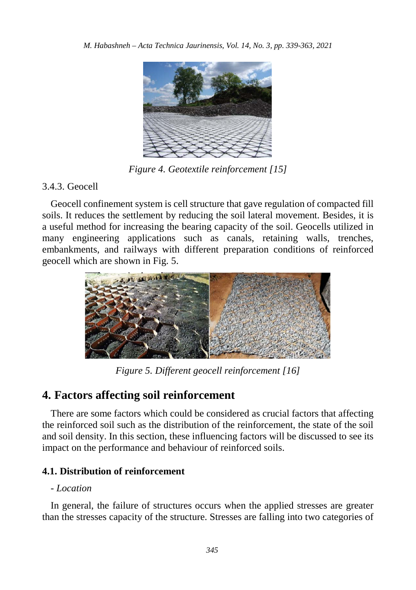

*Figure 4. Geotextile reinforcement [15]*

# 3.4.3. Geocell

Geocell confinement system is cell structure that gave regulation of compacted fill soils. It reduces the settlement by reducing the soil lateral movement. Besides, it is a useful method for increasing the bearing capacity of the soil. Geocells utilized in many engineering applications such as canals, retaining walls, trenches, embankments, and railways with different preparation conditions of reinforced geocell which are shown in Fig. 5.



*Figure 5. Different geocell reinforcement [16]*

# **4. Factors affecting soil reinforcement**

There are some factors which could be considered as crucial factors that affecting the reinforced soil such as the distribution of the reinforcement, the state of the soil and soil density. In this section, these influencing factors will be discussed to see its impact on the performance and behaviour of reinforced soils.

## **4.1. Distribution of reinforcement**

## *- Location*

In general, the failure of structures occurs when the applied stresses are greater than the stresses capacity of the structure. Stresses are falling into two categories of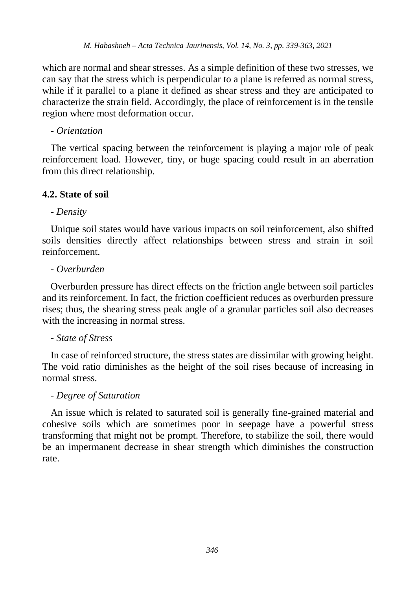which are normal and shear stresses. As a simple definition of these two stresses, we can say that the stress which is perpendicular to a plane is referred as normal stress, while if it parallel to a plane it defined as shear stress and they are anticipated to characterize the strain field. Accordingly, the place of reinforcement is in the tensile region where most deformation occur.

#### *- Orientation*

The vertical spacing between the reinforcement is playing a major role of peak reinforcement load. However, tiny, or huge spacing could result in an aberration from this direct relationship.

## **4.2. State of soil**

## *- Density*

Unique soil states would have various impacts on soil reinforcement, also shifted soils densities directly affect relationships between stress and strain in soil reinforcement.

## *- Overburden*

Overburden pressure has direct effects on the friction angle between soil particles and its reinforcement. In fact, the friction coefficient reduces as overburden pressure rises; thus, the shearing stress peak angle of a granular particles soil also decreases with the increasing in normal stress.

#### *- State of Stress*

In case of reinforced structure, the stress states are dissimilar with growing height. The void ratio diminishes as the height of the soil rises because of increasing in normal stress.

#### *- Degree of Saturation*

An issue which is related to saturated soil is generally fine-grained material and cohesive soils which are sometimes poor in seepage have a powerful stress transforming that might not be prompt. Therefore, to stabilize the soil, there would be an impermanent decrease in shear strength which diminishes the construction rate.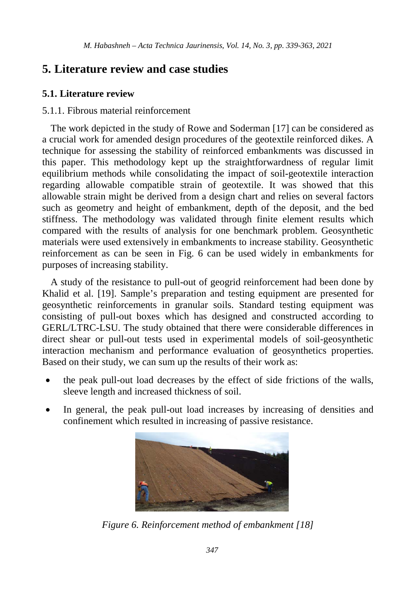# **5. Literature review and case studies**

## **5.1. Literature review**

## 5.1.1. Fibrous material reinforcement

The work depicted in the study of Rowe and Soderman [17] can be considered as a crucial work for amended design procedures of the geotextile reinforced dikes. A technique for assessing the stability of reinforced embankments was discussed in this paper. This methodology kept up the straightforwardness of regular limit equilibrium methods while consolidating the impact of soil-geotextile interaction regarding allowable compatible strain of geotextile. It was showed that this allowable strain might be derived from a design chart and relies on several factors such as geometry and height of embankment, depth of the deposit, and the bed stiffness. The methodology was validated through finite element results which compared with the results of analysis for one benchmark problem. Geosynthetic materials were used extensively in embankments to increase stability. Geosynthetic reinforcement as can be seen in Fig. 6 can be used widely in embankments for purposes of increasing stability.

A study of the resistance to pull-out of geogrid reinforcement had been done by Khalid et al. [19]. Sample's preparation and testing equipment are presented for geosynthetic reinforcements in granular soils. Standard testing equipment was consisting of pull-out boxes which has designed and constructed according to GERL/LTRC-LSU. The study obtained that there were considerable differences in direct shear or pull-out tests used in experimental models of soil-geosynthetic interaction mechanism and performance evaluation of geosynthetics properties. Based on their study, we can sum up the results of their work as:

- the peak pull-out load decreases by the effect of side frictions of the walls, sleeve length and increased thickness of soil.
- In general, the peak pull-out load increases by increasing of densities and confinement which resulted in increasing of passive resistance.



*Figure 6. Reinforcement method of embankment [18]*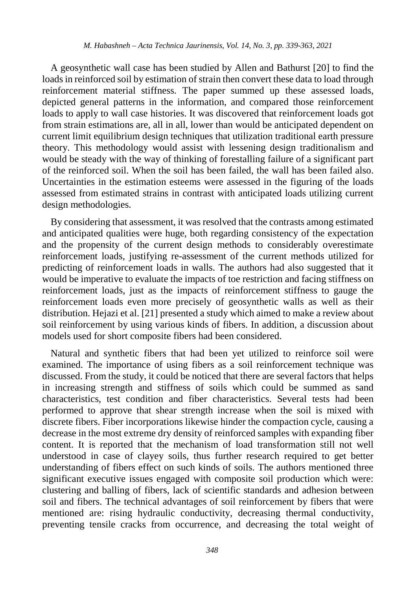A geosynthetic wall case has been studied by Allen and Bathurst [20] to find the loads in reinforced soil by estimation of strain then convert these data to load through reinforcement material stiffness. The paper summed up these assessed loads, depicted general patterns in the information, and compared those reinforcement loads to apply to wall case histories. It was discovered that reinforcement loads got from strain estimations are, all in all, lower than would be anticipated dependent on current limit equilibrium design techniques that utilization traditional earth pressure theory. This methodology would assist with lessening design traditionalism and would be steady with the way of thinking of forestalling failure of a significant part of the reinforced soil. When the soil has been failed, the wall has been failed also. Uncertainties in the estimation esteems were assessed in the figuring of the loads assessed from estimated strains in contrast with anticipated loads utilizing current design methodologies.

By considering that assessment, it was resolved that the contrasts among estimated and anticipated qualities were huge, both regarding consistency of the expectation and the propensity of the current design methods to considerably overestimate reinforcement loads, justifying re-assessment of the current methods utilized for predicting of reinforcement loads in walls. The authors had also suggested that it would be imperative to evaluate the impacts of toe restriction and facing stiffness on reinforcement loads, just as the impacts of reinforcement stiffness to gauge the reinforcement loads even more precisely of geosynthetic walls as well as their distribution. Hejazi et al. [21] presented a study which aimed to make a review about soil reinforcement by using various kinds of fibers. In addition, a discussion about models used for short composite fibers had been considered.

Natural and synthetic fibers that had been yet utilized to reinforce soil were examined. The importance of using fibers as a soil reinforcement technique was discussed. From the study, it could be noticed that there are several factors that helps in increasing strength and stiffness of soils which could be summed as sand characteristics, test condition and fiber characteristics. Several tests had been performed to approve that shear strength increase when the soil is mixed with discrete fibers. Fiber incorporations likewise hinder the compaction cycle, causing a decrease in the most extreme dry density of reinforced samples with expanding fiber content. It is reported that the mechanism of load transformation still not well understood in case of clayey soils, thus further research required to get better understanding of fibers effect on such kinds of soils. The authors mentioned three significant executive issues engaged with composite soil production which were: clustering and balling of fibers, lack of scientific standards and adhesion between soil and fibers. The technical advantages of soil reinforcement by fibers that were mentioned are: rising hydraulic conductivity, decreasing thermal conductivity, preventing tensile cracks from occurrence, and decreasing the total weight of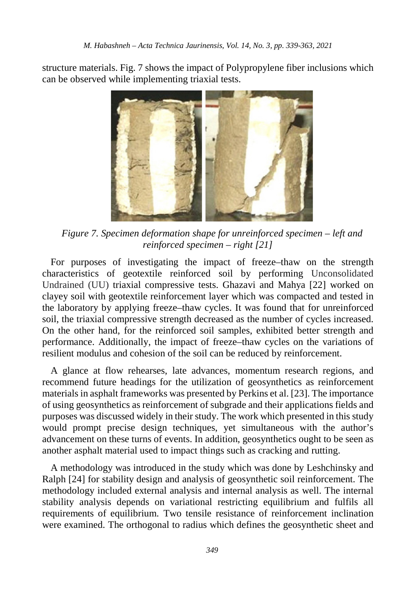structure materials. Fig. 7 shows the impact of Polypropylene fiber inclusions which can be observed while implementing triaxial tests.



*Figure 7. Specimen deformation shape for unreinforced specimen – left and reinforced specimen – right [21]*

For purposes of investigating the impact of freeze–thaw on the strength characteristics of geotextile reinforced soil by performing Unconsolidated Undrained (UU) triaxial compressive tests. Ghazavi and Mahya [22] worked on clayey soil with geotextile reinforcement layer which was compacted and tested in the laboratory by applying freeze–thaw cycles. It was found that for unreinforced soil, the triaxial compressive strength decreased as the number of cycles increased. On the other hand, for the reinforced soil samples, exhibited better strength and performance. Additionally, the impact of freeze–thaw cycles on the variations of resilient modulus and cohesion of the soil can be reduced by reinforcement.

A glance at flow rehearses, late advances, momentum research regions, and recommend future headings for the utilization of geosynthetics as reinforcement materials in asphalt frameworks was presented by Perkins et al. [23]. The importance of using geosynthetics as reinforcement of subgrade and their applications fields and purposes was discussed widely in their study. The work which presented in this study would prompt precise design techniques, yet simultaneous with the author's advancement on these turns of events. In addition, geosynthetics ought to be seen as another asphalt material used to impact things such as cracking and rutting.

A methodology was introduced in the study which was done by Leshchinsky and Ralph [24] for stability design and analysis of geosynthetic soil reinforcement. The methodology included external analysis and internal analysis as well. The internal stability analysis depends on variational restricting equilibrium and fulfils all requirements of equilibrium. Two tensile resistance of reinforcement inclination were examined. The orthogonal to radius which defines the geosynthetic sheet and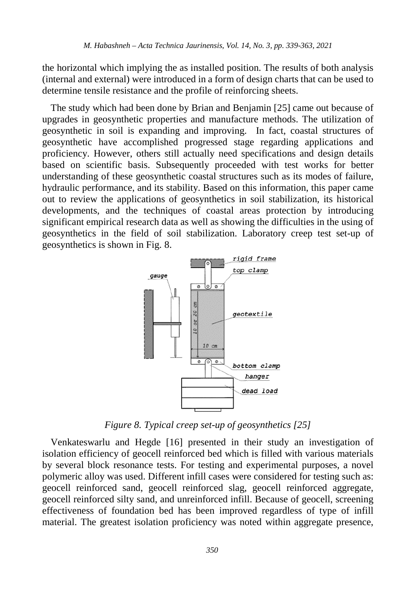the horizontal which implying the as installed position. The results of both analysis (internal and external) were introduced in a form of design charts that can be used to determine tensile resistance and the profile of reinforcing sheets.

The study which had been done by Brian and Benjamin [25] came out because of upgrades in geosynthetic properties and manufacture methods. The utilization of geosynthetic in soil is expanding and improving. In fact, coastal structures of geosynthetic have accomplished progressed stage regarding applications and proficiency. However, others still actually need specifications and design details based on scientific basis. Subsequently proceeded with test works for better understanding of these geosynthetic coastal structures such as its modes of failure, hydraulic performance, and its stability. Based on this information, this paper came out to review the applications of geosynthetics in soil stabilization, its historical developments, and the techniques of coastal areas protection by introducing significant empirical research data as well as showing the difficulties in the using of geosynthetics in the field of soil stabilization. Laboratory creep test set-up of geosynthetics is shown in Fig. 8.



*Figure 8. Typical creep set-up of geosynthetics [25]*

Venkateswarlu and Hegde [16] presented in their study an investigation of isolation efficiency of geocell reinforced bed which is filled with various materials by several block resonance tests. For testing and experimental purposes, a novel polymeric alloy was used. Different infill cases were considered for testing such as: geocell reinforced sand, geocell reinforced slag, geocell reinforced aggregate, geocell reinforced silty sand, and unreinforced infill. Because of geocell, screening effectiveness of foundation bed has been improved regardless of type of infill material. The greatest isolation proficiency was noted within aggregate presence,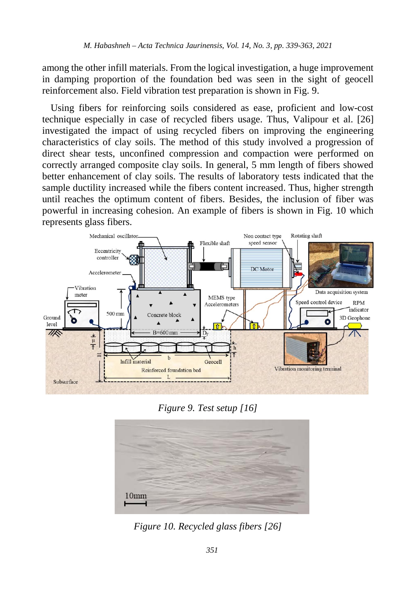among the other infill materials. From the logical investigation, a huge improvement in damping proportion of the foundation bed was seen in the sight of geocell reinforcement also. Field vibration test preparation is shown in Fig. 9.

Using fibers for reinforcing soils considered as ease, proficient and low-cost technique especially in case of recycled fibers usage. Thus, Valipour et al. [26] investigated the impact of using recycled fibers on improving the engineering characteristics of clay soils. The method of this study involved a progression of direct shear tests, unconfined compression and compaction were performed on correctly arranged composite clay soils. In general, 5 mm length of fibers showed better enhancement of clay soils. The results of laboratory tests indicated that the sample ductility increased while the fibers content increased. Thus, higher strength until reaches the optimum content of fibers. Besides, the inclusion of fiber was powerful in increasing cohesion. An example of fibers is shown in Fig. 10 which represents glass fibers.



*Figure 9. Test setup [16]*



*Figure 10. Recycled glass fibers [26]*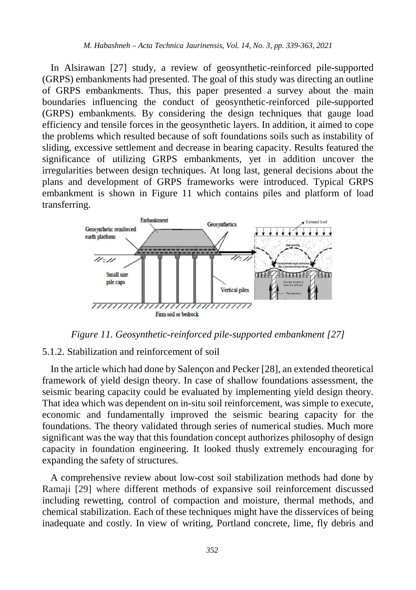In Alsirawan [27] study, a review of geosynthetic-reinforced pile-supported (GRPS) embankments had presented. The goal of this study was directing an outline of GRPS embankments. Thus, this paper presented a survey about the main boundaries influencing the conduct of geosynthetic-reinforced pile-supported (GRPS) embankments. By considering the design techniques that gauge load efficiency and tensile forces in the geosynthetic layers. In addition, it aimed to cope the problems which resulted because of soft foundations soils such as instability of sliding, excessive settlement and decrease in bearing capacity. Results featured the significance of utilizing GRPS embankments, yet in addition uncover the irregularities between design techniques. At long last, general decisions about the plans and development of GRPS frameworks were introduced. Typical GRPS embankment is shown in Figure 11 which contains piles and platform of load transferring.



*Figure 11. Geosynthetic-reinforced pile-supported embankment [27]*

#### 5.1.2. Stabilization and reinforcement of soil

In the article which had done by Salençon and Pecker [28], an extended theoretical framework of yield design theory. In case of shallow foundations assessment, the seismic bearing capacity could be evaluated by implementing yield design theory. That idea which was dependent on in-situ soil reinforcement, was simple to execute, economic and fundamentally improved the seismic bearing capacity for the foundations. The theory validated through series of numerical studies. Much more significant was the way that this foundation concept authorizes philosophy of design capacity in foundation engineering. It looked thusly extremely encouraging for expanding the safety of structures.

A comprehensive review about low-cost soil stabilization methods had done by Ramaji [29] where different methods of expansive soil reinforcement discussed including rewetting, control of compaction and moisture, thermal methods, and chemical stabilization. Each of these techniques might have the disservices of being inadequate and costly. In view of writing, Portland concrete, lime, fly debris and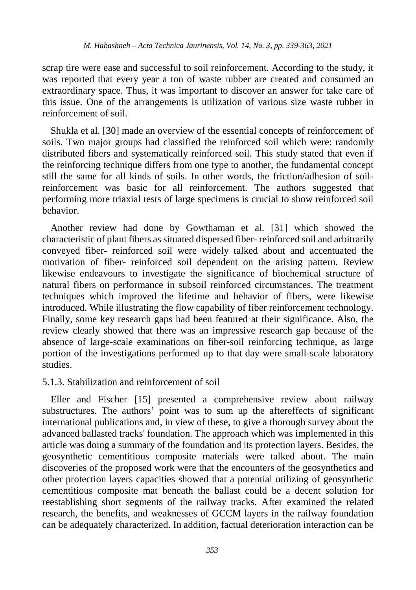scrap tire were ease and successful to soil reinforcement. According to the study, it was reported that every year a ton of waste rubber are created and consumed an extraordinary space. Thus, it was important to discover an answer for take care of this issue. One of the arrangements is utilization of various size waste rubber in reinforcement of soil.

Shukla et al. [30] made an overview of the essential concepts of reinforcement of soils. Two major groups had classified the reinforced soil which were: randomly distributed fibers and systematically reinforced soil. This study stated that even if the reinforcing technique differs from one type to another, the fundamental concept still the same for all kinds of soils. In other words, the friction/adhesion of soilreinforcement was basic for all reinforcement. The authors suggested that performing more triaxial tests of large specimens is crucial to show reinforced soil behavior.

Another review had done by Gowthaman et al. [31] which showed the characteristic of plant fibers as situated dispersed fiber- reinforced soil and arbitrarily conveyed fiber- reinforced soil were widely talked about and accentuated the motivation of fiber- reinforced soil dependent on the arising pattern. Review likewise endeavours to investigate the significance of biochemical structure of natural fibers on performance in subsoil reinforced circumstances. The treatment techniques which improved the lifetime and behavior of fibers, were likewise introduced. While illustrating the flow capability of fiber reinforcement technology. Finally, some key research gaps had been featured at their significance. Also, the review clearly showed that there was an impressive research gap because of the absence of large-scale examinations on fiber-soil reinforcing technique, as large portion of the investigations performed up to that day were small-scale laboratory studies.

#### 5.1.3. Stabilization and reinforcement of soil

Eller and Fischer [15] presented a comprehensive review about railway substructures. The authors' point was to sum up the aftereffects of significant international publications and, in view of these, to give a thorough survey about the advanced ballasted tracks' foundation. The approach which was implemented in this article was doing a summary of the foundation and its protection layers. Besides, the geosynthetic cementitious composite materials were talked about. The main discoveries of the proposed work were that the encounters of the geosynthetics and other protection layers capacities showed that a potential utilizing of geosynthetic cementitious composite mat beneath the ballast could be a decent solution for reestablishing short segments of the railway tracks. After examined the related research, the benefits, and weaknesses of GCCM layers in the railway foundation can be adequately characterized. In addition, factual deterioration interaction can be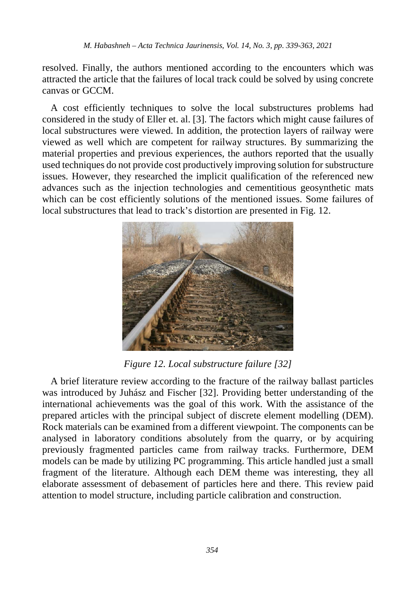resolved. Finally, the authors mentioned according to the encounters which was attracted the article that the failures of local track could be solved by using concrete canvas or GCCM.

A cost efficiently techniques to solve the local substructures problems had considered in the study of Eller et. al. [3]. The factors which might cause failures of local substructures were viewed. In addition, the protection layers of railway were viewed as well which are competent for railway structures. By summarizing the material properties and previous experiences, the authors reported that the usually used techniques do not provide cost productively improving solution for substructure issues. However, they researched the implicit qualification of the referenced new advances such as the injection technologies and cementitious geosynthetic mats which can be cost efficiently solutions of the mentioned issues. Some failures of local substructures that lead to track's distortion are presented in Fig. 12.



*Figure 12. Local substructure failure [32]*

A brief literature review according to the fracture of the railway ballast particles was introduced by Juhász and Fischer [32]. Providing better understanding of the international achievements was the goal of this work. With the assistance of the prepared articles with the principal subject of discrete element modelling (DEM). Rock materials can be examined from a different viewpoint. The components can be analysed in laboratory conditions absolutely from the quarry, or by acquiring previously fragmented particles came from railway tracks. Furthermore, DEM models can be made by utilizing PC programming. This article handled just a small fragment of the literature. Although each DEM theme was interesting, they all elaborate assessment of debasement of particles here and there. This review paid attention to model structure, including particle calibration and construction.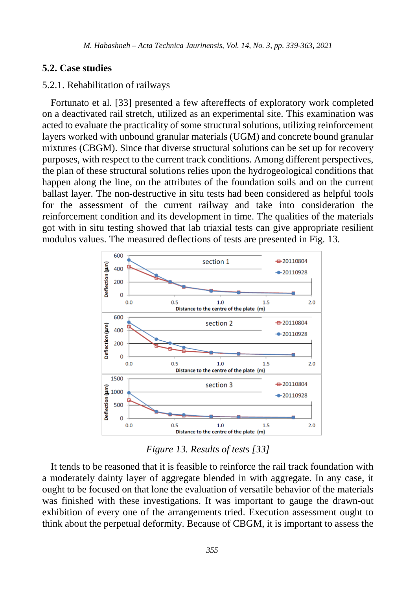#### **5.2. Case studies**

#### 5.2.1. Rehabilitation of railways

Fortunato et al. [33] presented a few aftereffects of exploratory work completed on a deactivated rail stretch, utilized as an experimental site. This examination was acted to evaluate the practicality of some structural solutions, utilizing reinforcement layers worked with unbound granular materials (UGM) and concrete bound granular mixtures (CBGM). Since that diverse structural solutions can be set up for recovery purposes, with respect to the current track conditions. Among different perspectives, the plan of these structural solutions relies upon the hydrogeological conditions that happen along the line, on the attributes of the foundation soils and on the current ballast layer. The non-destructive in situ tests had been considered as helpful tools for the assessment of the current railway and take into consideration the reinforcement condition and its development in time. The qualities of the materials got with in situ testing showed that lab triaxial tests can give appropriate resilient modulus values. The measured deflections of tests are presented in Fig. 13.



*Figure 13. Results of tests [33]*

It tends to be reasoned that it is feasible to reinforce the rail track foundation with a moderately dainty layer of aggregate blended in with aggregate. In any case, it ought to be focused on that lone the evaluation of versatile behavior of the materials was finished with these investigations. It was important to gauge the drawn-out exhibition of every one of the arrangements tried. Execution assessment ought to think about the perpetual deformity. Because of CBGM, it is important to assess the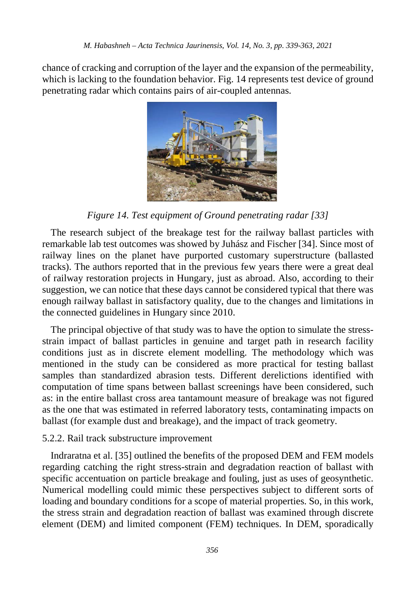chance of cracking and corruption of the layer and the expansion of the permeability, which is lacking to the foundation behavior. Fig. 14 represents test device of ground penetrating radar which contains pairs of air-coupled antennas.



*Figure 14. Test equipment of Ground penetrating radar [33]*

The research subject of the breakage test for the railway ballast particles with remarkable lab test outcomes was showed by Juhász and Fischer [34]. Since most of railway lines on the planet have purported customary superstructure (ballasted tracks). The authors reported that in the previous few years there were a great deal of railway restoration projects in Hungary, just as abroad. Also, according to their suggestion, we can notice that these days cannot be considered typical that there was enough railway ballast in satisfactory quality, due to the changes and limitations in the connected guidelines in Hungary since 2010.

The principal objective of that study was to have the option to simulate the stressstrain impact of ballast particles in genuine and target path in research facility conditions just as in discrete element modelling. The methodology which was mentioned in the study can be considered as more practical for testing ballast samples than standardized abrasion tests. Different derelictions identified with computation of time spans between ballast screenings have been considered, such as: in the entire ballast cross area tantamount measure of breakage was not figured as the one that was estimated in referred laboratory tests, contaminating impacts on ballast (for example dust and breakage), and the impact of track geometry.

## 5.2.2. Rail track substructure improvement

Indraratna et al. [35] outlined the benefits of the proposed DEM and FEM models regarding catching the right stress-strain and degradation reaction of ballast with specific accentuation on particle breakage and fouling, just as uses of geosynthetic. Numerical modelling could mimic these perspectives subject to different sorts of loading and boundary conditions for a scope of material properties. So, in this work, the stress strain and degradation reaction of ballast was examined through discrete element (DEM) and limited component (FEM) techniques. In DEM, sporadically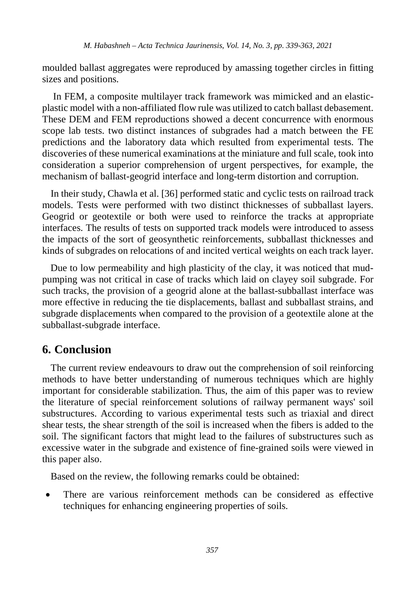moulded ballast aggregates were reproduced by amassing together circles in fitting sizes and positions.

In FEM, a composite multilayer track framework was mimicked and an elasticplastic model with a non-affiliated flow rule was utilized to catch ballast debasement. These DEM and FEM reproductions showed a decent concurrence with enormous scope lab tests. two distinct instances of subgrades had a match between the FE predictions and the laboratory data which resulted from experimental tests. The discoveries of these numerical examinations at the miniature and full scale, took into consideration a superior comprehension of urgent perspectives, for example, the mechanism of ballast-geogrid interface and long-term distortion and corruption.

In their study, Chawla et al. [36] performed static and cyclic tests on railroad track models. Tests were performed with two distinct thicknesses of subballast layers. Geogrid or geotextile or both were used to reinforce the tracks at appropriate interfaces. The results of tests on supported track models were introduced to assess the impacts of the sort of geosynthetic reinforcements, subballast thicknesses and kinds of subgrades on relocations of and incited vertical weights on each track layer.

Due to low permeability and high plasticity of the clay, it was noticed that mudpumping was not critical in case of tracks which laid on clayey soil subgrade. For such tracks, the provision of a geogrid alone at the ballast-subballast interface was more effective in reducing the tie displacements, ballast and subballast strains, and subgrade displacements when compared to the provision of a geotextile alone at the subballast-subgrade interface.

# **6. Conclusion**

The current review endeavours to draw out the comprehension of soil reinforcing methods to have better understanding of numerous techniques which are highly important for considerable stabilization. Thus, the aim of this paper was to review the literature of special reinforcement solutions of railway permanent ways' soil substructures. According to various experimental tests such as triaxial and direct shear tests, the shear strength of the soil is increased when the fibers is added to the soil. The significant factors that might lead to the failures of substructures such as excessive water in the subgrade and existence of fine-grained soils were viewed in this paper also.

Based on the review, the following remarks could be obtained:

• There are various reinforcement methods can be considered as effective techniques for enhancing engineering properties of soils.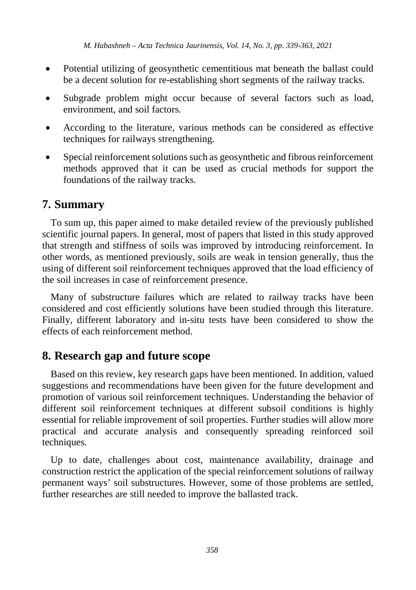- Potential utilizing of geosynthetic cementitious mat beneath the ballast could be a decent solution for re-establishing short segments of the railway tracks.
- Subgrade problem might occur because of several factors such as load, environment, and soil factors.
- According to the literature, various methods can be considered as effective techniques for railways strengthening.
- Special reinforcement solutions such as geosynthetic and fibrous reinforcement methods approved that it can be used as crucial methods for support the foundations of the railway tracks.

# **7. Summary**

To sum up, this paper aimed to make detailed review of the previously published scientific journal papers. In general, most of papers that listed in this study approved that strength and stiffness of soils was improved by introducing reinforcement. In other words, as mentioned previously, soils are weak in tension generally, thus the using of different soil reinforcement techniques approved that the load efficiency of the soil increases in case of reinforcement presence.

Many of substructure failures which are related to railway tracks have been considered and cost efficiently solutions have been studied through this literature. Finally, different laboratory and in-situ tests have been considered to show the effects of each reinforcement method.

# **8. Research gap and future scope**

Based on this review, key research gaps have been mentioned. In addition, valued suggestions and recommendations have been given for the future development and promotion of various soil reinforcement techniques. Understanding the behavior of different soil reinforcement techniques at different subsoil conditions is highly essential for reliable improvement of soil properties. Further studies will allow more practical and accurate analysis and consequently spreading reinforced soil techniques.

Up to date, challenges about cost, maintenance availability, drainage and construction restrict the application of the special reinforcement solutions of railway permanent ways' soil substructures. However, some of those problems are settled, further researches are still needed to improve the ballasted track.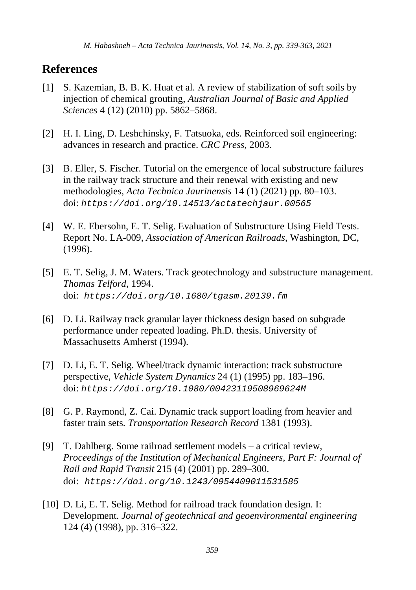# **References**

- [1] S. Kazemian, B. B. K. Huat et al. A review of stabilization of soft soils by injection of chemical grouting, *Australian Journal of Basic and Applied Sciences* 4 (12) (2010) pp. 5862–5868.
- [2] H. I. Ling, D. Leshchinsky, F. Tatsuoka, eds. Reinforced soil engineering: advances in research and practice. *CRC Press*, 2003.
- [3] B. Eller, S. Fischer. Tutorial on the emergence of local substructure failures in the railway track structure and their renewal with existing and new methodologies, *Acta Technica Jaurinensis* 14 (1) (2021) pp. 80–103. doi: *<https://doi.org/10.14513/actatechjaur.00565>*
- [4] W. E. Ebersohn, E. T. Selig. Evaluation of Substructure Using Field Tests. Report No. LA-009, *Association of American Railroads*, Washington, DC, (1996).
- [5] E. T. Selig, J. M. Waters. Track geotechnology and substructure management. *Thomas Telford*, 1994. doi: *<https://doi.org/10.1680/tgasm.20139.fm>*
- [6] D. Li. Railway track granular layer thickness design based on subgrade performance under repeated loading. Ph.D. thesis. University of Massachusetts Amherst (1994).
- [7] D. Li, E. T. Selig. Wheel/track dynamic interaction: track substructure perspective, *Vehicle System Dynamics* 24 (1) (1995) pp. 183–196. doi: *<https://doi.org/10.1080/00423119508969624M>*
- [8] G. P. Raymond, Z. Cai. Dynamic track support loading from heavier and faster train sets. *Transportation Research Record* 1381 (1993).
- [9] T. Dahlberg. Some railroad settlement models a critical review, *Proceedings of the Institution of Mechanical Engineers, Part F: Journal of Rail and Rapid Transit* 215 (4) (2001) pp. 289–300. doi: *<https://doi.org/10.1243/0954409011531585>*
- [10] D. Li, E. T. Selig. Method for railroad track foundation design. I: Development. *Journal of geotechnical and geoenvironmental engineering* 124 (4) (1998), pp. 316–322.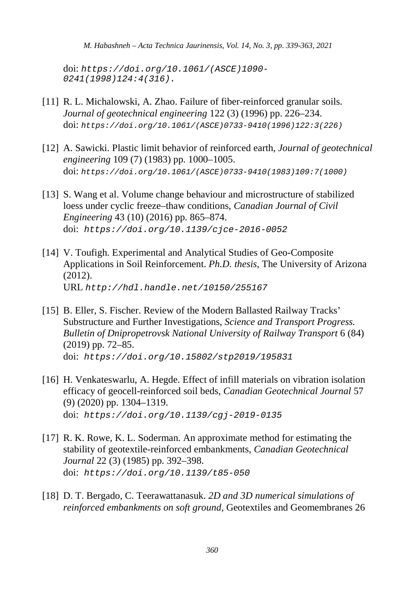*M. Habashneh – Acta Technica Jaurinensis, Vol. 14, No. 3, pp. 339-363, 2021*

doi: *[https://doi.org/10.1061/\(ASCE\)1090-](https://doi.org/10.1061/(ASCE)1090-0241(1998)124:4(316)) [0241\(1998\)124:4\(316\).](https://doi.org/10.1061/(ASCE)1090-0241(1998)124:4(316))*

- [11] R. L. Michalowski, A. Zhao. Failure of fiber-reinforced granular soils. *Journal of geotechnical engineering* 122 (3) (1996) pp. 226–234. doi: *[https://doi.org/10.1061/\(ASCE\)0733-9410\(1996\)122:3\(226\)](https://doi.org/10.1061/(ASCE)0733-9410(1996)122:3(226))*
- [12] A. Sawicki. Plastic limit behavior of reinforced earth, *Journal of geotechnical engineering* 109 (7) (1983) pp. 1000–1005. doi: *[https://doi.org/10.1061/\(ASCE\)0733-9410\(1983\)109:7\(1000\)](https://doi.org/10.1061/(ASCE)0733-9410(1983)109:7(1000))*
- [13] S. Wang et al. Volume change behaviour and microstructure of stabilized loess under cyclic freeze–thaw conditions, *Canadian Journal of Civil Engineering* 43 (10) (2016) pp. 865–874. doi: *https://doi.org[/10.1139/cjce-2016-0052](https://www.researchgate.net/deref/http%3A%2F%2Fdx.doi.org%2F10.1139%2Fcjce-2016-0052?_sg%5B0%5D=Z688lttq_BGr0jaRUXj789K9vaY5dmmeUavQd4ADrOFgvpnnvd9j0B-Bhqkf-fGJIuzyKPVEn-0yRSylEWMJZbh2TA.0PWlF0CFubni9r5LItw5iRYk2cwZQgCsbdE7dCG7jxnbkosBdboW33zXR4h7nldXOOwY77JRjeVr0zUc6yjZdQ)*
- [14] V. Toufigh. Experimental and Analytical Studies of Geo-Composite Applications in Soil Reinforcement. *Ph.D. thesis*, The University of Arizona (2012). URL *<http://hdl.handle.net/10150/255167>*
- [15] B. Eller, S. Fischer. Review of the Modern Ballasted Railway Tracks' Substructure and Further Investigations, *Science and Transport Progress. Bulletin of Dnipropetrovsk National University of Railway Transport* 6 (84) (2019) pp. 72–85. doi: *https://doi.org/10.15802/stp2019/195831*
- [16] H. Venkateswarlu, A. Hegde. Effect of infill materials on vibration isolation efficacy of geocell-reinforced soil beds, *Canadian Geotechnical Journal* 57 (9) (2020) pp. 1304–1319. doi: *<https://doi.org/10.1139/cgj-2019-0135>*
- [17] R. K. Rowe, K. L. Soderman. An approximate method for estimating the stability of geotextile-reinforced embankments, *Canadian Geotechnical Journal* 22 (3) (1985) pp. 392–398. doi: *<https://doi.org/10.1139/t85-050>*
- [18] D. T. Bergado, C. Teerawattanasuk. *2D and 3D numerical simulations of reinforced embankments on soft ground*, Geotextiles and Geomembranes 26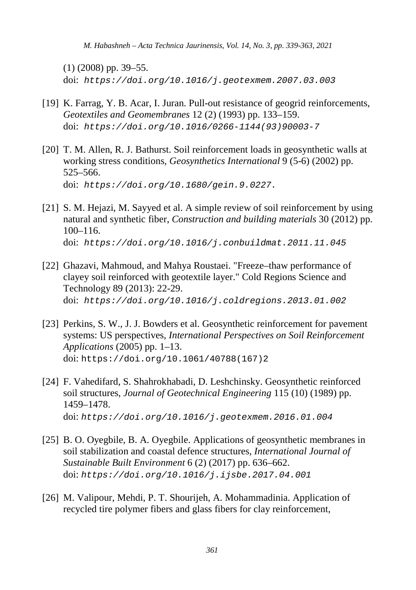*M. Habashneh – Acta Technica Jaurinensis, Vol. 14, No. 3, pp. 339-363, 2021*

(1) (2008) pp. 39–55. doi: *<https://doi.org/10.1016/j.geotexmem.2007.03.003>*

- [19] K. Farrag, Y. B. Acar, I. Juran. Pull-out resistance of geogrid reinforcements, *Geotextiles and Geomembranes* 12 (2) (1993) pp. 133–159. doi: *[https://doi.org/10.1016/0266-1144\(93\)90003-7](https://doi.org/10.1016/0266-1144(93)90003-7)*
- [20] T. M. Allen, R. J. Bathurst. Soil reinforcement loads in geosynthetic walls at working stress conditions, *Geosynthetics International* 9 (5-6) (2002) pp. 525–566. doi: *[https://doi.org/10.1680/gein.9.0227.](https://doi.org/10.1680/gein.9.0227)*
- [21] S. M. Hejazi, M. Sayyed et al. A simple review of soil reinforcement by using natural and synthetic fiber, *Construction and building materials* 30 (2012) pp. 100–116. doi: *<https://doi.org/10.1016/j.conbuildmat.2011.11.045>*
- [22] Ghazavi, Mahmoud, and Mahya Roustaei. "Freeze–thaw performance of clayey soil reinforced with geotextile layer." Cold Regions Science and Technology 89 (2013): 22-29. doi: *<https://doi.org/10.1016/j.coldregions.2013.01.002>*
- [23] Perkins, S. W., J. J. Bowders et al. Geosynthetic reinforcement for pavement systems: US perspectives, *International Perspectives on Soil Reinforcement Applications* (2005) pp. 1–13. doi: [https://doi.org/10.1061/40788\(167\)2](https://doi.org/10.1061/40788(167)2)
- [24] F. Vahedifard, S. Shahrokhabadi, D. Leshchinsky. Geosynthetic reinforced soil structures, *Journal of Geotechnical Engineering* 115 (10) (1989) pp. 1459–1478. doi: *<https://doi.org/10.1016/j.geotexmem.2016.01.004>*
- [25] B. O. Oyegbile, B. A. Oyegbile. Applications of geosynthetic membranes in soil stabilization and coastal defence structures, *International Journal of Sustainable Built Environment* 6 (2) (2017) pp. 636–662. doi: *<https://doi.org/10.1016/j.ijsbe.2017.04.001>*
- [26] M. Valipour, Mehdi, P. T. Shourijeh, A. Mohammadinia. Application of recycled tire polymer fibers and glass fibers for clay reinforcement,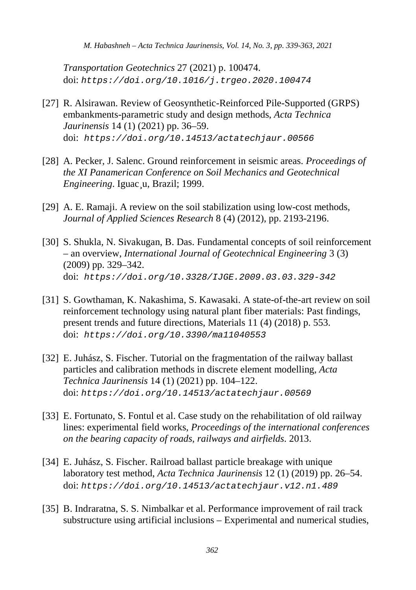*Transportation Geotechnics* 27 (2021) p. 100474. doi: *<https://doi.org/10.1016/j.trgeo.2020.100474>*

- [27] R. Alsirawan. Review of Geosynthetic-Reinforced Pile-Supported (GRPS) embankments-parametric study and design methods, *Acta Technica Jaurinensis* 14 (1) (2021) pp. 36–59. doi: *<https://doi.org/10.14513/actatechjaur.00566>*
- [28] A. Pecker, J. Salenc. Ground reinforcement in seismic areas. *Proceedings of the XI Panamerican Conference on Soil Mechanics and Geotechnical Engineering*. Iguac¸u, Brazil; 1999.
- [29] A. E. Ramaji. A review on the soil stabilization using low-cost methods, *Journal of Applied Sciences Research* 8 (4) (2012), pp. 2193-2196.
- [30] S. Shukla, N. Sivakugan, B. Das. Fundamental concepts of soil reinforcement – an overview, *International Journal of Geotechnical Engineering* 3 (3) (2009) pp. 329–342. doi: *https://doi.org/10.3328/IJGE.2009.03.03.329-342*
- [31] S. Gowthaman, K. Nakashima, S. Kawasaki. A state-of-the-art review on soil reinforcement technology using natural plant fiber materials: Past findings, present trends and future directions, Materials 11 (4) (2018) p. 553. doi: *https://doi.org/10.3390/ma11040553*
- [32] E. Juhász, S. Fischer. Tutorial on the fragmentation of the railway ballast particles and calibration methods in discrete element modelling, *Acta Technica Jaurinensis* 14 (1) (2021) pp. 104–122. doi: *<https://doi.org/10.14513/actatechjaur.00569>*
- [33] E. Fortunato, S. Fontul et al. Case study on the rehabilitation of old railway lines: experimental field works, *Proceedings of the international conferences on the bearing capacity of roads, railways and airfields*. 2013.
- [34] E. Juhász, S. Fischer. Railroad ballast particle breakage with unique laboratory test method, *Acta Technica Jaurinensis* 12 (1) (2019) pp. 26–54. doi: *<https://doi.org/10.14513/actatechjaur.v12.n1.489>*
- [35] B. Indraratna, S. S. Nimbalkar et al. Performance improvement of rail track substructure using artificial inclusions – Experimental and numerical studies,